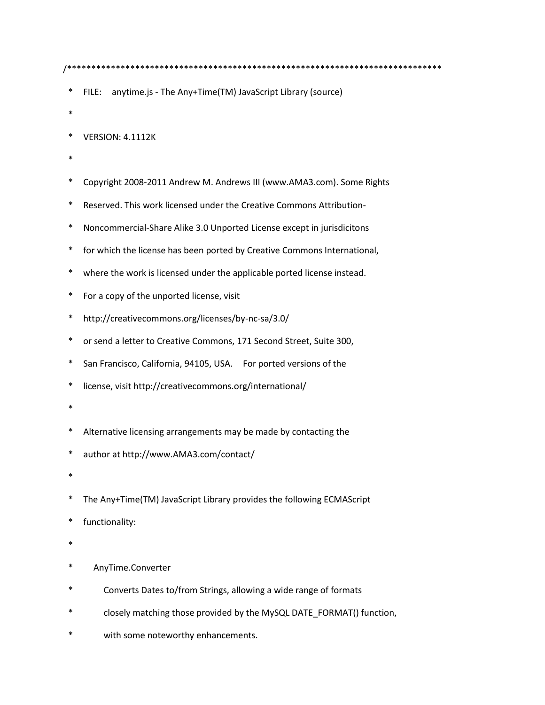- FILE: anytime.js The Any+Time(TM) JavaScript Library (source)
- 
- $\ast$ **VERSION: 4.1112K**
- 
- $\ast$ Copyright 2008-2011 Andrew M. Andrews III (www.AMA3.com). Some Rights
- Reserved. This work licensed under the Creative Commons Attribution-
- $\ast$ Noncommercial-Share Alike 3.0 Unported License except in jurisdicitons
- $\ast$ for which the license has been ported by Creative Commons International,
- $\ast$ where the work is licensed under the applicable ported license instead.
- $\ast$ For a copy of the unported license, visit
- $\ast$ http://creativecommons.org/licenses/by-nc-sa/3.0/
- $\ast$ or send a letter to Creative Commons, 171 Second Street, Suite 300,
- $\ast$ San Francisco, California, 94105, USA. For ported versions of the
- $\ast$ license, visit http://creativecommons.org/international/
- 
- $\ast$ Alternative licensing arrangements may be made by contacting the
- $\ast$ author at http://www.AMA3.com/contact/
- $\ast$
- $\ast$ The Any+Time(TM) JavaScript Library provides the following ECMAScript
- $\ast$ functionality:
- 
- AnyTime.Converter
- Converts Dates to/from Strings, allowing a wide range of formats
- closely matching those provided by the MySQL DATE\_FORMAT() function,
- with some noteworthy enhancements.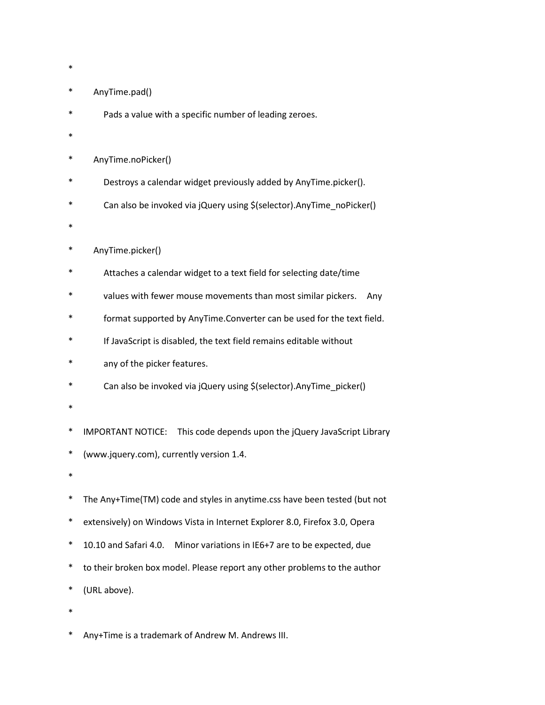- \*
- AnyTime.pad()
- Pads a value with a specific number of leading zeroes.
- \*
- \* AnyTime.noPicker()
- Destroys a calendar widget previously added by AnyTime.picker().
- Can also be invoked via jQuery using \$(selector).AnyTime\_noPicker()
- \*
- AnyTime.picker()
- \* Attaches a calendar widget to a text field for selecting date/time
- values with fewer mouse movements than most similar pickers. Any
- format supported by AnyTime.Converter can be used for the text field.
- If JavaScript is disabled, the text field remains editable without
- any of the picker features.
- Can also be invoked via jQuery using \$(selector).AnyTime\_picker()
- \*
- IMPORTANT NOTICE: This code depends upon the jQuery JavaScript Library
- \* (www.jquery.com), currently version 1.4.
- \*
- \* The Any+Time(TM) code and styles in anytime.css have been tested (but not
- \* extensively) on Windows Vista in Internet Explorer 8.0, Firefox 3.0, Opera
- \* 10.10 and Safari 4.0. Minor variations in IE6+7 are to be expected, due
- \* to their broken box model. Please report any other problems to the author
- \* (URL above).
- \*

\* Any+Time is a trademark of Andrew M. Andrews III.